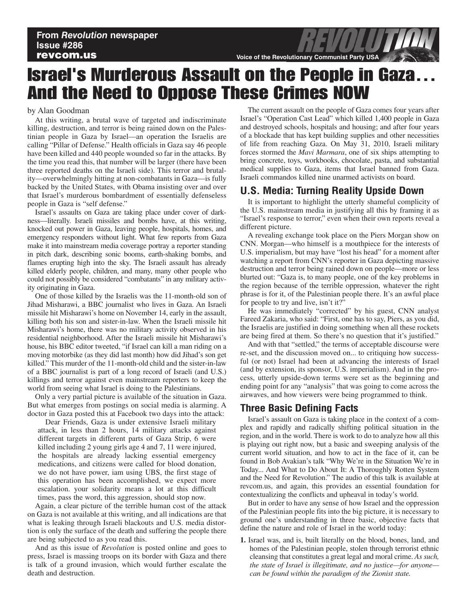# Israel's Murderous Assault on the People in Gaza… And the Need to Oppose These Crimes NOW

#### by Alan Goodman

At this writing, a brutal wave of targeted and indiscriminate killing, destruction, and terror is being rained down on the Palestinian people in Gaza by Israel—an operation the Israelis are calling "Pillar of Defense." Health officials in Gaza say 46 people have been killed and 440 people wounded so far in the attacks. By the time you read this, that number will be larger (there have been three reported deaths on the Israeli side). This terror and brutality—overwhelmingly hitting at non-combatants in Gaza—is fully backed by the United States, with Obama insisting over and over that Israel's murderous bombardment of essentially defenseless people in Gaza is "self defense."

Israel's assaults on Gaza are taking place under cover of darkness—literally. Israeli missiles and bombs have, at this writing, knocked out power in Gaza, leaving people, hospitals, homes, and emergency responders without light. What few reports from Gaza make it into mainstream media coverage portray a reporter standing in pitch dark, describing sonic booms, earth-shaking bombs, and flames erupting high into the sky. The Israeli assault has already killed elderly people, children, and many, many other people who could not possibly be considered "combatants" in any military activity originating in Gaza.

One of those killed by the Israelis was the 11-month-old son of Jihad Misharawi, a BBC journalist who lives in Gaza. An Israeli missile hit Misharawi's home on November 14, early in the assault, killing both his son and sister-in-law. When the Israeli missile hit Misharawi's home, there was no military activity observed in his residential neighborhood. After the Israeli missile hit Misharawi's house, his BBC editor tweeted, "if Israel can kill a man riding on a moving motorbike (as they did last month) how did Jihad's son get killed." This murder of the 11-month-old child and the sister-in-law of a BBC journalist is part of a long record of Israeli (and U.S.) killings and terror against even mainstream reporters to keep the world from seeing what Israel is doing to the Palestinians.

Only a very partial picture is available of the situation in Gaza. But what emerges from postings on social media is alarming. A doctor in Gaza posted this at Facebook two days into the attack:

Dear Friends, Gaza is under extensive Israeli military attack, in less than 2 hours, 14 military attacks against different targets in different parts of Gaza Strip, 6 were killed including 2 young girls age 4 and 7, 11 were injured, the hospitals are already lacking essential emergency medications, and citizens were called for blood donation, we do not have power, iam using UBS, the first stage of this operation has been accomplished, we expect more escalation. your solidarity means a lot at this difficult times, pass the word, this aggression, should stop now.

Again, a clear picture of the terrible human cost of the attack on Gaza is not available at this writing, and all indications are that what is leaking through Israeli blackouts and U.S. media distortion is only the surface of the death and suffering the people there are being subjected to as you read this.

And as this issue of *Revolution* is posted online and goes to press, Israel is massing troops on its border with Gaza and there is talk of a ground invasion, which would further escalate the death and destruction.

The current assault on the people of Gaza comes four years after Israel's "Operation Cast Lead" which killed 1,400 people in Gaza and destroyed schools, hospitals and housing; and after four years of a blockade that has kept building supplies and other necessities of life from reaching Gaza. On May 31, 2010, Israeli military forces stormed the *Mavi Marmara*, one of six ships attempting to bring concrete, toys, workbooks, chocolate, pasta, and substantial medical supplies to Gaza, items that Israel banned from Gaza. Israeli commandos killed nine unarmed activists on board.

## **U.S. Media: Turning Reality Upside Down**

It is important to highlight the utterly shameful complicity of the U.S. mainstream media in justifying all this by framing it as "Israel's response to terror," even when their own reports reveal a different picture.

A revealing exchange took place on the Piers Morgan show on CNN. Morgan—who himself is a mouthpiece for the interests of U.S. imperialism, but may have "lost his head" for a moment after watching a report from CNN's reporter in Gaza depicting massive destruction and terror being rained down on people—more or less blurted out: "Gaza is, to many people, one of the key problems in the region because of the terrible oppression, whatever the right phrase is for it, of the Palestinian people there. It's an awful place for people to try and live, isn't it?"

He was immediately "corrected" by his guest, CNN analyst Fareed Zakaria, who said: "First, one has to say, Piers, as you did, the Israelis are justified in doing something when all these rockets are being fired at them. So there's no question that it's justified."

And with that "settled," the terms of acceptable discourse were re-set, and the discussion moved on... to critiquing how successful (or not) Israel had been at advancing the interests of Israel (and by extension, its sponsor, U.S. imperialism). And in the process, utterly upside-down terms were set as the beginning and ending point for any "analysis" that was going to come across the airwaves, and how viewers were being programmed to think.

### **Three Basic Defining Facts**

Israel's assault on Gaza is taking place in the context of a complex and rapidly and radically shifting political situation in the region, and in the world. There is work to do to analyze how all this is playing out right now, but a basic and sweeping analysis of the current world situation, and how to act in the face of it, can be found in Bob Avakian's talk "Why We're in the Situation We're in Today... And What to Do About It: A Thoroughly Rotten System and the Need for Revolution." The audio of this talk is available at revcom.us, and again, this provides an essential foundation for contextualizing the conflicts and upheaval in today's world.

But in order to have any sense of how Israel and the oppression of the Palestinian people fits into the big picture, it is necessary to ground one's understanding in three basic, objective facts that define the nature and role of Israel in the world today:

**1.** Israel was, and is, built literally on the blood, bones, land, and homes of the Palestinian people, stolen through terrorist ethnic cleansing that constitutes a great legal and moral crime. *As such, the state of Israel is illegitimate, and no justice—for anyone can be found within the paradigm of the Zionist state.*